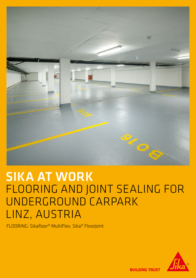

# SIKA AT WORK FLOORING AND JOINT SEALING FOR UNDERGROUND CARPARK LINZ, AUSTRIA

FLOORING: Sikafloor® MultiFlex, Sika® FloorJoint



**BUILDING TRUST**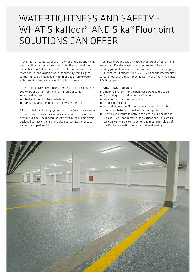### WATERTIGHTNESS AND SAFETY - WHAT Sikafloor® AND Sika®Floorjoint SOLUTIONS CAN OFFER

In the Austrian carparks, Sika is known as a reliable and highly qualified flooring system supplier. After the launch of the innovative Sika® Floorjoint systems, Sika has become even more popular and valuable, because these systems significantly improve the parking environment by offering watertightness & safety and an easy installation process.

The picture above shows an underground carpark in Linz, Austria where the Sika®FloorJoint joint profile ensures

- **■** Watertightness
- Steel and corrosion free installation
- Hardly any vibration noticable under direct traffic

Sika supplied the flooring systems and the floor joint systems in this project. The carpark serves a new-built office and residential building. The modern apartments in the building were designed to have either sunny balconies, terraces or private gardens, and parking lots.

In an area of around 5,100 m² (two underground floors) there were over 180 vehicle parking spaces created. The earthbearing ground floor was covered with a static crack bridging OS 13 system Sikafloor® Multiflex PB-21, and the intermediate carpark floor with a crack-bridging OS 11b Sikafloor® Multiflex PB-51 system.

#### PROJECT REQUIREMENTS

- The flooring systems for the park deck are required to be
- Crack bridging according to the OS norms
- **•** Abrasion resistant for the car traffic
- **E** Corrosion resistant
- **■** Watertight joint profiles for the numerous joints in the concrete substrate to provide long-term protection.
- Chemical resistance to petrol and diesel fuels, engine oils, urea solutions, saturated saline solutions and lubricants in accordance with the construction and testing principles of the Deutsches Institut für structural engineering

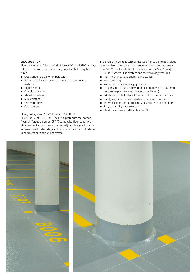#### SIKA SOLUTION

Flooring systems: Sikafloor®MultiFlex PB-21 and PB-51 - greycolored broadcoast systems. They have the following features:

- Crack-bridging at low temperature
- Primer with low-viscosity, colorless two-component material
- **■** Highly elastic
- **E** Chemical resistant
- Abrasion resistant
- Slip resistant
- **■** Waterproofing
- Color options

Floor joint system: Sika®FloorJoint PB-30 PD Sika®Floorloint PD (= Park Deck) is a prefabricated, carbon fiber reinforced polymer (CFRP) composite floor panel with high mechanical resistance. Its waved joint design allows for improved load distribution and results in minimum vibrations under direct car and forklift traffic.

The profile is equipped with a recessed flange along both sides used to blend in with new floor coverings for smooth transition. Sika®FloorJoint PD is the main part of the Sika®FloorJoint PB-30 PD system. The system has the following features:

- High mechanical and chemical resistance
- **■** Non-corroding
- Waterproof system design possible
- For gaps in the substrate with a maximum width of 60 mm (maximum positive joint movement = 40 mm)
- **E** Grindable profile for level integration into the floor surface
- Hardly any vibrations noticeable under direct car traffic
- Thermal expansion coefficient similar to resin-based floors

3

- Easy to install / easy to repair
- Short downtime / trafficable after 24 h